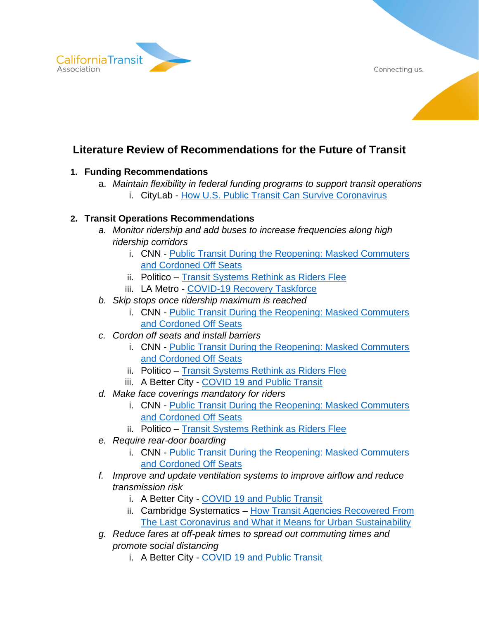Connecting us.



# **Literature Review of Recommendations for the Future of Transit**

### **1. Funding Recommendations**

- a. *Maintain flexibility in federal funding programs to support transit operations*
	- i. CityLab [How U.S. Public Transit Can Survive Coronavirus](https://www.citylab.com/perspective/2020/04/coronavirus-public-transit-ridership-federal-funding-bus-subways/610453/)

#### **2. Transit Operations Recommendations**

- *a. Monitor ridership and add buses to increase frequencies along high ridership corridors*
	- i. CNN Public Transit During the Reopening: Masked Commuters [and Cordoned Off Seats](https://www.cnn.com/2020/04/27/us/mass-transit-coronavirus-reopening/index.html)
	- ii. Politico [Transit Systems Rethink as Riders Flee](https://subscriber.politicopro.com/states/new-york/albany/story/2020/05/19/transit-systems-rethink-as-riders-flee-1284539)
	- iii. LA Metro [COVID-19 Recovery Taskforce](https://metro.legistar.com/LegislationDetail.aspx?ID=4539357&GUID=E57A0C0E-3F40-408E-A43B-ABC9033C62D7&Options=ID%7CText%7CAttachments%7COther%7C&Search=&FullText=1)
- *b. Skip stops once ridership maximum is reached*
	- i. CNN [Public Transit During the Reopening: Masked Commuters](https://www.cnn.com/2020/04/27/us/mass-transit-coronavirus-reopening/index.html)  [and Cordoned Off Seats](https://www.cnn.com/2020/04/27/us/mass-transit-coronavirus-reopening/index.html)
- *c. Cordon off seats and install barriers*
	- i. CNN [Public Transit During the Reopening: Masked Commuters](https://www.cnn.com/2020/04/27/us/mass-transit-coronavirus-reopening/index.html)  [and Cordoned Off Seats](https://www.cnn.com/2020/04/27/us/mass-transit-coronavirus-reopening/index.html)
	- ii. Politico [Transit Systems Rethink as Riders Flee](https://subscriber.politicopro.com/states/new-york/albany/story/2020/05/19/transit-systems-rethink-as-riders-flee-1284539)
	- iii. A Better City COVID [19 and Public Transit](https://www.abettercity.org/news-and-events/blog/covid-19-response-how-is-the-public-transit-system-measuring-up)
- *d. Make face coverings mandatory for riders*
	- i. CNN [Public Transit During the Reopening: Masked Commuters](https://www.cnn.com/2020/04/27/us/mass-transit-coronavirus-reopening/index.html)  [and Cordoned Off Seats](https://www.cnn.com/2020/04/27/us/mass-transit-coronavirus-reopening/index.html)
	- ii. Politico [Transit Systems Rethink as Riders Flee](https://subscriber.politicopro.com/states/new-york/albany/story/2020/05/19/transit-systems-rethink-as-riders-flee-1284539)
- *e. Require rear-door boarding*
	- i. CNN Public Transit During the Reopening: Masked Commuters [and Cordoned Off Seats](https://www.cnn.com/2020/04/27/us/mass-transit-coronavirus-reopening/index.html)
- *f. Improve and update ventilation systems to improve airflow and reduce transmission risk*
	- i. A Better City COVID [19 and Public Transit](https://www.abettercity.org/news-and-events/blog/covid-19-response-how-is-the-public-transit-system-measuring-up)
	- ii. Cambridge Systematics [How Transit Agencies Recovered From](https://www.linkedin.com/pulse/how-transit-agencies-recovered-from-last-coronavirus-what-chang/)  [The Last Coronavirus and What it Means for Urban Sustainability](https://www.linkedin.com/pulse/how-transit-agencies-recovered-from-last-coronavirus-what-chang/)
- *g. Reduce fares at off-peak times to spread out commuting times and promote social distancing*
	- i. A Better City COVID [19 and Public Transit](https://www.abettercity.org/news-and-events/blog/covid-19-response-how-is-the-public-transit-system-measuring-up)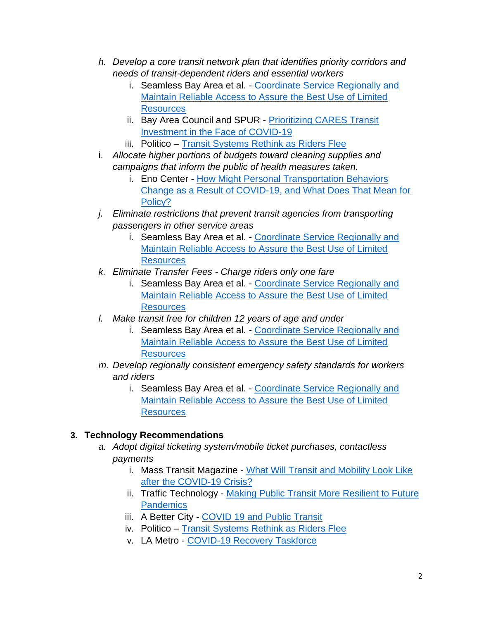- *h. Develop a core transit network plan that identifies priority corridors and needs of transit-dependent riders and essential workers* 
	- i. Seamless Bay Area et al. [Coordinate Service Regionally and](https://mtc.legistar.com/View.ashx?M=F&ID=8263652&GUID=C2BD8FAA-F852-4908-8039-D0A60AC56EBD)  Maintain Reliable [Access to Assure the Best Use of Limited](https://mtc.legistar.com/View.ashx?M=F&ID=8263652&GUID=C2BD8FAA-F852-4908-8039-D0A60AC56EBD)  **[Resources](https://mtc.legistar.com/View.ashx?M=F&ID=8263652&GUID=C2BD8FAA-F852-4908-8039-D0A60AC56EBD)**
	- ii. Bay Area Council and SPUR [Prioritizing CARES Transit](https://mtc.legistar.com/View.ashx?M=F&ID=8263653&GUID=09FFF32B-DD94-40A0-B24E-83F8DAF15FF4)  [Investment in the Face of COVID-19](https://mtc.legistar.com/View.ashx?M=F&ID=8263653&GUID=09FFF32B-DD94-40A0-B24E-83F8DAF15FF4)
	- iii. Politico [Transit Systems Rethink as Riders Flee](https://subscriber.politicopro.com/states/new-york/albany/story/2020/05/19/transit-systems-rethink-as-riders-flee-1284539)
- i. *Allocate higher portions of budgets toward cleaning supplies and campaigns that inform the public of health measures taken.*
	- i. Eno Center [How Might Personal Transportation Behaviors](https://www.enotrans.org/article/how-might-personal-transportation-behaviors-change-as-a-result-of-covid-19-and-what-does-that-mean-for-policy/)  [Change as a Result of COVID-19, and What Does That Mean for](https://www.enotrans.org/article/how-might-personal-transportation-behaviors-change-as-a-result-of-covid-19-and-what-does-that-mean-for-policy/)  [Policy?](https://www.enotrans.org/article/how-might-personal-transportation-behaviors-change-as-a-result-of-covid-19-and-what-does-that-mean-for-policy/)
- *j. Eliminate restrictions that prevent transit agencies from transporting passengers in other service areas*
	- i. Seamless Bay Area et al. [Coordinate Service Regionally and](https://mtc.legistar.com/View.ashx?M=F&ID=8263652&GUID=C2BD8FAA-F852-4908-8039-D0A60AC56EBD)  [Maintain Reliable Access to Assure the Best Use of Limited](https://mtc.legistar.com/View.ashx?M=F&ID=8263652&GUID=C2BD8FAA-F852-4908-8039-D0A60AC56EBD)  **[Resources](https://mtc.legistar.com/View.ashx?M=F&ID=8263652&GUID=C2BD8FAA-F852-4908-8039-D0A60AC56EBD)**
- *k. Eliminate Transfer Fees - Charge riders only one fare*
	- i. Seamless Bay Area et al. Coordinate Service Regionally and [Maintain Reliable Access to Assure the Best Use of Limited](https://mtc.legistar.com/View.ashx?M=F&ID=8263652&GUID=C2BD8FAA-F852-4908-8039-D0A60AC56EBD)  **[Resources](https://mtc.legistar.com/View.ashx?M=F&ID=8263652&GUID=C2BD8FAA-F852-4908-8039-D0A60AC56EBD)**
- *l. Make transit free for children 12 years of age and under*
	- i. Seamless Bay Area et al. [Coordinate Service Regionally and](https://mtc.legistar.com/View.ashx?M=F&ID=8263652&GUID=C2BD8FAA-F852-4908-8039-D0A60AC56EBD)  [Maintain Reliable Access to Assure the Best Use of Limited](https://mtc.legistar.com/View.ashx?M=F&ID=8263652&GUID=C2BD8FAA-F852-4908-8039-D0A60AC56EBD)  **[Resources](https://mtc.legistar.com/View.ashx?M=F&ID=8263652&GUID=C2BD8FAA-F852-4908-8039-D0A60AC56EBD)**
- *m. Develop regionally consistent emergency safety standards for workers and riders*
	- i. Seamless Bay Area et al. Coordinate Service Regionally and [Maintain Reliable Access to Assure the Best Use of Limited](https://mtc.legistar.com/View.ashx?M=F&ID=8263652&GUID=C2BD8FAA-F852-4908-8039-D0A60AC56EBD)  **[Resources](https://mtc.legistar.com/View.ashx?M=F&ID=8263652&GUID=C2BD8FAA-F852-4908-8039-D0A60AC56EBD)**

## **3. Technology Recommendations**

- *a. Adopt digital ticketing system/mobile ticket purchases, contactless payments*
	- i. Mass Transit Magazine [What Will Transit and Mobility Look Like](https://www.masstransitmag.com/technology/article/21133801/ubirider-what-will-transit-and-mobility-look-like-after-the-covid19-crisis)  [after the COVID-19 Crisis?](https://www.masstransitmag.com/technology/article/21133801/ubirider-what-will-transit-and-mobility-look-like-after-the-covid19-crisis)
	- ii. Traffic Technology [Making Public Transit More Resilient to Future](https://www.traffictechnologytoday.com/features/making-public-transit-more-resilient-to-future-pandemics.html)  **[Pandemics](https://www.traffictechnologytoday.com/features/making-public-transit-more-resilient-to-future-pandemics.html)**
	- iii. A Better City COVID [19 and Public Transit](https://www.abettercity.org/news-and-events/blog/covid-19-response-how-is-the-public-transit-system-measuring-up)
	- iv. Politico [Transit Systems Rethink as Riders Flee](https://subscriber.politicopro.com/states/new-york/albany/story/2020/05/19/transit-systems-rethink-as-riders-flee-1284539)
	- v. LA Metro [COVID-19 Recovery Taskforce](https://metro.legistar.com/LegislationDetail.aspx?ID=4539357&GUID=E57A0C0E-3F40-408E-A43B-ABC9033C62D7&Options=ID%7CText%7CAttachments%7COther%7C&Search=&FullText=1)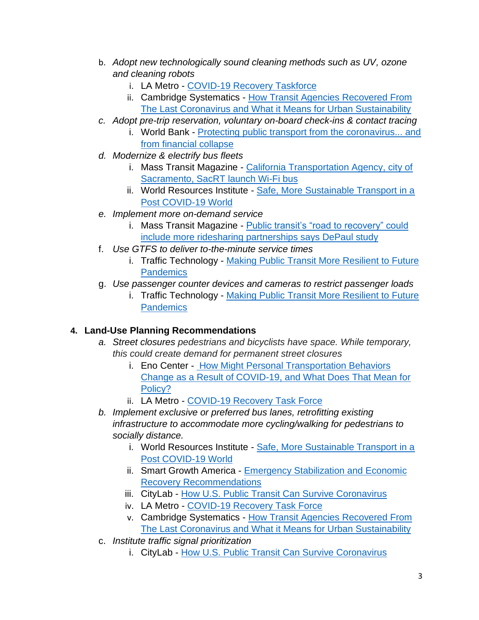- b. *Adopt new technologically sound cleaning methods such as UV, ozone and cleaning robots*
	- i. LA Metro [COVID-19 Recovery Taskforce](https://metro.legistar.com/LegislationDetail.aspx?ID=4539357&GUID=E57A0C0E-3F40-408E-A43B-ABC9033C62D7&Options=ID%7CText%7CAttachments%7COther%7C&Search=&FullText=1)
	- ii. Cambridge Systematics [How Transit Agencies Recovered From](https://www.linkedin.com/pulse/how-transit-agencies-recovered-from-last-coronavirus-what-chang/)  [The Last Coronavirus and What it Means for Urban Sustainability](https://www.linkedin.com/pulse/how-transit-agencies-recovered-from-last-coronavirus-what-chang/)
- *c. Adopt pre-trip reservation, voluntary on-board check-ins & contact tracing*
	- i. World Bank [Protecting public transport from the coronavirus... and](https://blogs.worldbank.org/transport/protecting-public-transport-coronavirus-and-financial-collapse)  [from financial collapse](https://blogs.worldbank.org/transport/protecting-public-transport-coronavirus-and-financial-collapse)
- *d. Modernize & electrify bus fleets*
	- i. Mass Transit Magazine [California Transportation Agency, city of](https://www.masstransitmag.com/technology/miscellaneous/press-release/21136689/sacramento-regional-transit-sacrt-california-transportation-agency-city-of-sacramento-sacrt-launch-wifi-bus)  [Sacramento, SacRT launch Wi-Fi bus](https://www.masstransitmag.com/technology/miscellaneous/press-release/21136689/sacramento-regional-transit-sacrt-california-transportation-agency-city-of-sacramento-sacrt-launch-wifi-bus)
	- ii. World Resources Institute [Safe, More Sustainable Transport in a](https://www.wri.org/blog/2020/04/coronavirus-public-transport-stimulus-packages)  [Post COVID-19 World](https://www.wri.org/blog/2020/04/coronavirus-public-transport-stimulus-packages)
- *e. Implement more on-demand service*
	- i. Mass Transit Magazine [Public transit's "road to recovery" could](https://www.masstransitmag.com/alt-mobility/shared-mobility/article/21133939/public-transits-road-to-recovery-could-include-more-ridesharing-partnerships-says-depaul-study)  [include more ridesharing partnerships says DePaul study](https://www.masstransitmag.com/alt-mobility/shared-mobility/article/21133939/public-transits-road-to-recovery-could-include-more-ridesharing-partnerships-says-depaul-study)
- f. *Use GTFS to deliver to-the-minute service times*
	- i. Traffic Technology [Making Public Transit More Resilient to Future](https://www.traffictechnologytoday.com/features/making-public-transit-more-resilient-to-future-pandemics.html)  **[Pandemics](https://www.traffictechnologytoday.com/features/making-public-transit-more-resilient-to-future-pandemics.html)**
- g. *Use passenger counter devices and cameras to restrict passenger loads*
	- i. Traffic Technology Making Public Transit More Resilient to Future **[Pandemics](https://www.traffictechnologytoday.com/features/making-public-transit-more-resilient-to-future-pandemics.html)**

## **4. Land-Use Planning Recommendations**

- *a. Street closures pedestrians and bicyclists have space. While temporary, this could create demand for permanent street closures*
	- i. Eno Center [How Might Personal Transportation Behaviors](https://www.enotrans.org/article/how-might-personal-transportation-behaviors-change-as-a-result-of-covid-19-and-what-does-that-mean-for-policy/)  [Change as a Result of COVID-19, and What Does That Mean for](https://www.enotrans.org/article/how-might-personal-transportation-behaviors-change-as-a-result-of-covid-19-and-what-does-that-mean-for-policy/)  [Policy?](https://www.enotrans.org/article/how-might-personal-transportation-behaviors-change-as-a-result-of-covid-19-and-what-does-that-mean-for-policy/)
	- ii. LA Metro [COVID-19 Recovery Task Force](https://metro.legistar.com/LegislationDetail.aspx?ID=4539357&GUID=E57A0C0E-3F40-408E-A43B-ABC9033C62D7&Options=ID%7CText%7CAttachments%7COther%7C&Search=&FullText=1)
- *b. Implement exclusive or preferred bus lanes, retrofitting existing infrastructure to accommodate more cycling/walking for pedestrians to socially distance.* 
	- i. World Resources Institute [Safe, More Sustainable Transport in a](https://www.wri.org/blog/2020/04/coronavirus-public-transport-stimulus-packages)  [Post COVID-19 World](https://www.wri.org/blog/2020/04/coronavirus-public-transport-stimulus-packages)
	- ii. Smart Growth America [Emergency Stabilization and Economic](https://smartgrowthamerica.org/resources/emergency-stabilization-economic-recovery-recommendations/)  [Recovery Recommendations](https://smartgrowthamerica.org/resources/emergency-stabilization-economic-recovery-recommendations/)
	- iii. CityLab [How U.S. Public Transit Can Survive Coronavirus](https://www.citylab.com/perspective/2020/04/coronavirus-public-transit-ridership-federal-funding-bus-subways/610453/)
	- iv. LA Metro [COVID-19 Recovery Task Force](https://metro.legistar.com/LegislationDetail.aspx?ID=4539357&GUID=E57A0C0E-3F40-408E-A43B-ABC9033C62D7&Options=ID%7CText%7CAttachments%7COther%7C&Search=&FullText=1)
	- v. Cambridge Systematics [How Transit Agencies Recovered From](https://www.linkedin.com/pulse/how-transit-agencies-recovered-from-last-coronavirus-what-chang/)  [The Last Coronavirus and What it Means for Urban Sustainability](https://www.linkedin.com/pulse/how-transit-agencies-recovered-from-last-coronavirus-what-chang/)
- c. *Institute traffic signal prioritization*
	- i. CityLab [How U.S. Public Transit Can Survive Coronavirus](https://www.citylab.com/perspective/2020/04/coronavirus-public-transit-ridership-federal-funding-bus-subways/610453/)